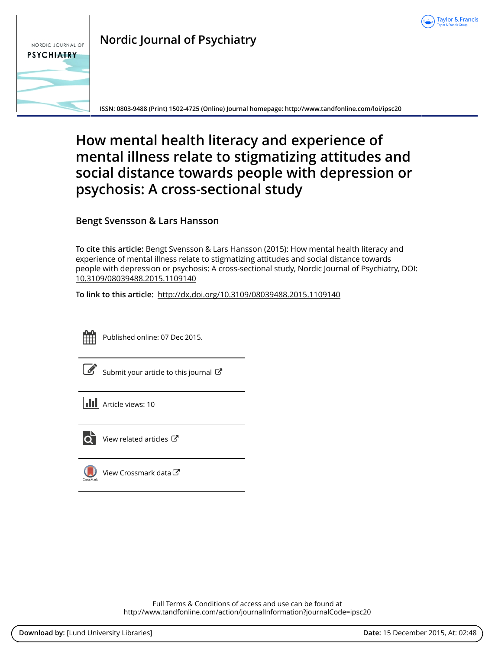



**Nordic Journal of Psychiatry**

**ISSN: 0803-9488 (Print) 1502-4725 (Online) Journal homepage:<http://www.tandfonline.com/loi/ipsc20>**

# **How mental health literacy and experience of mental illness relate to stigmatizing attitudes and social distance towards people with depression or psychosis: A cross-sectional study**

**Bengt Svensson & Lars Hansson**

**To cite this article:** Bengt Svensson & Lars Hansson (2015): How mental health literacy and experience of mental illness relate to stigmatizing attitudes and social distance towards people with depression or psychosis: A cross-sectional study, Nordic Journal of Psychiatry, DOI: [10.3109/08039488.2015.1109140](http://www.tandfonline.com/action/showCitFormats?doi=10.3109/08039488.2015.1109140)

**To link to this article:** <http://dx.doi.org/10.3109/08039488.2015.1109140>



Published online: 07 Dec 2015.

[Submit your article to this journal](http://www.tandfonline.com/action/authorSubmission?journalCode=ipsc20&page=instructions)  $\mathbb{Z}$ 

**III** Article views: 10



 $\overrightarrow{Q}$  [View related articles](http://www.tandfonline.com/doi/mlt/10.3109/08039488.2015.1109140)  $\overrightarrow{C}$ 

[View Crossmark data](http://crossmark.crossref.org/dialog/?doi=10.3109/08039488.2015.1109140&domain=pdf&date_stamp=2015-12-07)

Full Terms & Conditions of access and use can be found at <http://www.tandfonline.com/action/journalInformation?journalCode=ipsc20>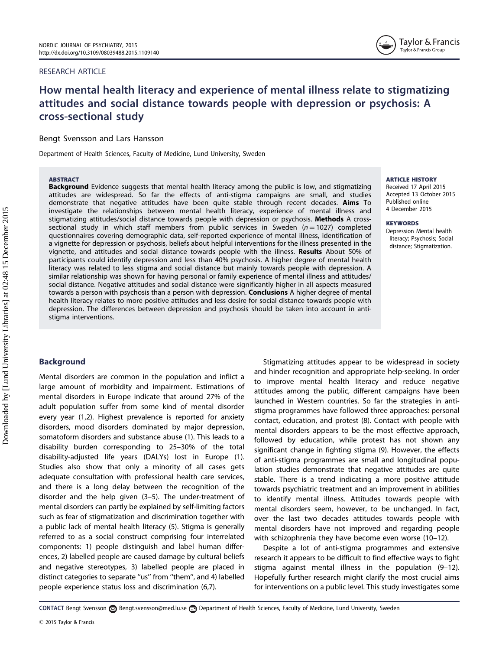#### RESEARCH ARTICLE

ARTICLE HISTORY Received 17 April 2015 Accepted 13 October 2015 Published online 4 December 2015 **KEYWORDS** 

Depression Mental health literacy; Psychosis; Social distance; Stigmatization.

# How mental health literacy and experience of mental illness relate to stigmatizing attitudes and social distance towards people with depression or psychosis: A cross-sectional study

Bengt Svensson and Lars Hansson

Department of Health Sciences, Faculty of Medicine, Lund University, Sweden

## ABSTRACT

**Background** Evidence suggests that mental health literacy among the public is low, and stigmatizing attitudes are widespread. So far the effects of anti-stigma campaigns are small, and studies demonstrate that negative attitudes have been quite stable through recent decades. Aims To investigate the relationships between mental health literacy, experience of mental illness and stigmatizing attitudes/social distance towards people with depression or psychosis. Methods A crosssectional study in which staff members from public services in Sweden ( $n = 1027$ ) completed questionnaires covering demographic data, self-reported experience of mental illness, identification of a vignette for depression or psychosis, beliefs about helpful interventions for the illness presented in the vignette, and attitudes and social distance towards people with the illness. Results About 50% of participants could identify depression and less than 40% psychosis. A higher degree of mental health literacy was related to less stigma and social distance but mainly towards people with depression. A similar relationship was shown for having personal or family experience of mental illness and attitudes/ social distance. Negative attitudes and social distance were significantly higher in all aspects measured towards a person with psychosis than a person with depression. **Conclusions** A higher degree of mental health literacy relates to more positive attitudes and less desire for social distance towards people with depression. The differences between depression and psychosis should be taken into account in antistigma interventions.

# **Background**

Mental disorders are common in the population and inflict a large amount of morbidity and impairment. Estimations of mental disorders in Europe indicate that around 27% of the adult population suffer from some kind of mental disorder every year ([1,2](#page-5-0)). Highest prevalence is reported for anxiety disorders, mood disorders dominated by major depression, somatoform disorders and substance abuse [\(1](#page-5-0)). This leads to a disability burden corresponding to 25–30% of the total disability-adjusted life years (DALYs) lost in Europe [\(1\)](#page-5-0). Studies also show that only a minority of all cases gets adequate consultation with professional health care services, and there is a long delay between the recognition of the disorder and the help given ([3–5](#page-5-0)). The under-treatment of mental disorders can partly be explained by self-limiting factors such as fear of stigmatization and discrimination together with a public lack of mental health literacy ([5\)](#page-5-0). Stigma is generally referred to as a social construct comprising four interrelated components: 1) people distinguish and label human differences, 2) labelled people are caused damage by cultural beliefs and negative stereotypes, 3) labelled people are placed in distinct categories to separate ''us'' from ''them'', and 4) labelled people experience status loss and discrimination [\(6,7\)](#page-5-0).

Stigmatizing attitudes appear to be widespread in society and hinder recognition and appropriate help-seeking. In order to improve mental health literacy and reduce negative attitudes among the public, different campaigns have been launched in Western countries. So far the strategies in antistigma programmes have followed three approaches: personal contact, education, and protest [\(8\)](#page-5-0). Contact with people with mental disorders appears to be the most effective approach, followed by education, while protest has not shown any significant change in fighting stigma [\(9](#page-5-0)). However, the effects of anti-stigma programmes are small and longitudinal population studies demonstrate that negative attitudes are quite stable. There is a trend indicating a more positive attitude towards psychiatric treatment and an improvement in abilities to identify mental illness. Attitudes towards people with mental disorders seem, however, to be unchanged. In fact, over the last two decades attitudes towards people with mental disorders have not improved and regarding people with schizophrenia they have become even worse ([10–12\)](#page-5-0).

Despite a lot of anti-stigma programmes and extensive research it appears to be difficult to find effective ways to fight stigma against mental illness in the population [\(9–12\)](#page-5-0). Hopefully further research might clarify the most crucial aims for interventions on a public level. This study investigates some

CONTACT Bengt Svensson Bengt.svensson@med.lu.se Department of Health Sciences, Faculty of Medicine, Lund University, Sweden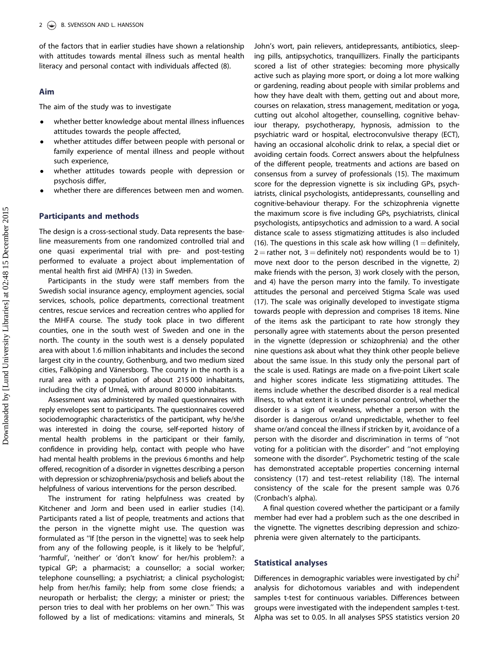of the factors that in earlier studies have shown a relationship with attitudes towards mental illness such as mental health literacy and personal contact with individuals affected ([8](#page-5-0)).

# Aim

The aim of the study was to investigate

- $\bullet$  whether better knowledge about mental illness influences attitudes towards the people affected,
- $\bullet$  whether attitudes differ between people with personal or family experience of mental illness and people without such experience,
- $\bullet$  whether attitudes towards people with depression or psychosis differ,
- $\bullet$ whether there are differences between men and women.

#### Participants and methods

The design is a cross-sectional study. Data represents the baseline measurements from one randomized controlled trial and one quasi experimental trial with pre- and post-testing performed to evaluate a project about implementation of mental health first aid (MHFA) ([13](#page-5-0)) in Sweden.

Participants in the study were staff members from the Swedish social insurance agency, employment agencies, social services, schools, police departments, correctional treatment centres, rescue services and recreation centres who applied for the MHFA course. The study took place in two different counties, one in the south west of Sweden and one in the north. The county in the south west is a densely populated area with about 1.6 million inhabitants and includes the second largest city in the country, Gothenburg, and two medium sized cities, Falköping and Vänersborg. The county in the north is a rural area with a population of about 215 000 inhabitants, including the city of Umeå, with around 80000 inhabitants.

Assessment was administered by mailed questionnaires with reply envelopes sent to participants. The questionnaires covered sociodemographic characteristics of the participant, why he/she was interested in doing the course, self-reported history of mental health problems in the participant or their family, confidence in providing help, contact with people who have had mental health problems in the previous 6 months and help offered, recognition of a disorder in vignettes describing a person with depression or schizophrenia/psychosis and beliefs about the helpfulness of various interventions for the person described.

The instrument for rating helpfulness was created by Kitchener and Jorm and been used in earlier studies [\(14\)](#page-5-0). Participants rated a list of people, treatments and actions that the person in the vignette might use. The question was formulated as ''If [the person in the vignette] was to seek help from any of the following people, is it likely to be 'helpful', 'harmful', 'neither' or 'don't know' for her/his problem?: a typical GP; a pharmacist; a counsellor; a social worker; telephone counselling; a psychiatrist; a clinical psychologist; help from her/his family; help from some close friends; a neuropath or herbalist; the clergy; a minister or priest; the person tries to deal with her problems on her own.'' This was followed by a list of medications: vitamins and minerals, St

John's wort, pain relievers, antidepressants, antibiotics, sleeping pills, antipsychotics, tranquillizers. Finally the participants scored a list of other strategies: becoming more physically active such as playing more sport, or doing a lot more walking or gardening, reading about people with similar problems and how they have dealt with them, getting out and about more, courses on relaxation, stress management, meditation or yoga, cutting out alcohol altogether, counselling, cognitive behaviour therapy, psychotherapy, hypnosis, admission to the psychiatric ward or hospital, electroconvulsive therapy (ECT), having an occasional alcoholic drink to relax, a special diet or avoiding certain foods. Correct answers about the helpfulness of the different people, treatments and actions are based on consensus from a survey of professionals [\(15\)](#page-5-0). The maximum score for the depression vignette is six including GPs, psychiatrists, clinical psychologists, antidepressants, counselling and cognitive-behaviour therapy. For the schizophrenia vignette the maximum score is five including GPs, psychiatrists, clinical psychologists, antipsychotics and admission to a ward. A social distance scale to assess stigmatizing attitudes is also included [\(16\)](#page-5-0). The questions in this scale ask how willing  $(1 =$  definitely,  $2 =$  rather not,  $3 =$  definitely not) respondents would be to 1) move next door to the person described in the vignette, 2) make friends with the person, 3) work closely with the person, and 4) have the person marry into the family. To investigate attitudes the personal and perceived Stigma Scale was used [\(17\)](#page-5-0). The scale was originally developed to investigate stigma towards people with depression and comprises 18 items. Nine of the items ask the participant to rate how strongly they personally agree with statements about the person presented in the vignette (depression or schizophrenia) and the other nine questions ask about what they think other people believe about the same issue. In this study only the personal part of the scale is used. Ratings are made on a five-point Likert scale and higher scores indicate less stigmatizing attitudes. The items include whether the described disorder is a real medical illness, to what extent it is under personal control, whether the disorder is a sign of weakness, whether a person with the disorder is dangerous or/and unpredictable, whether to feel shame or/and conceal the illness if stricken by it, avoidance of a person with the disorder and discrimination in terms of ''not voting for a politician with the disorder'' and ''not employing someone with the disorder''. Psychometric testing of the scale has demonstrated acceptable properties concerning internal consistency [\(17\)](#page-5-0) and test–retest reliability [\(18\)](#page-5-0). The internal consistency of the scale for the present sample was 0.76 (Cronbach's alpha).

A final question covered whether the participant or a family member had ever had a problem such as the one described in the vignette. The vignettes describing depression and schizophrenia were given alternately to the participants.

#### Statistical analyses

Differences in demographic variables were investigated by chi<sup>2</sup> analysis for dichotomous variables and with independent samples t-test for continuous variables. Differences between groups were investigated with the independent samples t-test. Alpha was set to 0.05. In all analyses SPSS statistics version 20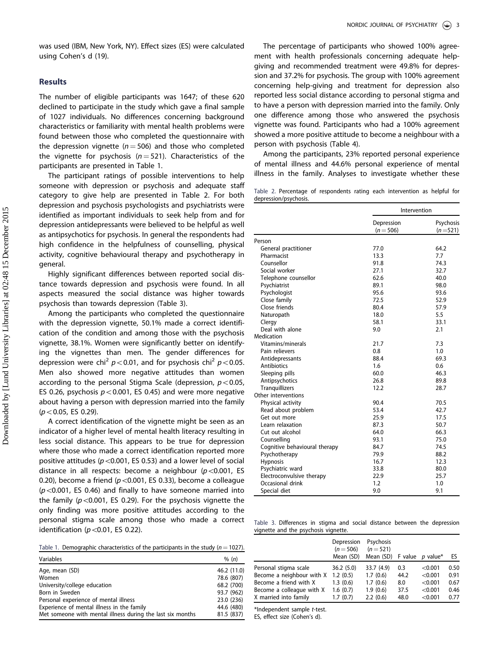was used (IBM, New York, NY). Effect sizes (ES) were calculated using Cohen's d ([19](#page-5-0)).

# **Results**

The number of eligible participants was 1647; of these 620 declined to participate in the study which gave a final sample of 1027 individuals. No differences concerning background characteristics or familiarity with mental health problems were found between those who completed the questionnaire with the depression vignette ( $n = 506$ ) and those who completed the vignette for psychosis ( $n = 521$ ). Characteristics of the participants are presented in Table 1.

The participant ratings of possible interventions to help someone with depression or psychosis and adequate staff category to give help are presented in Table 2. For both depression and psychosis psychologists and psychiatrists were identified as important individuals to seek help from and for depression antidepressants were believed to be helpful as well as antipsychotics for psychosis. In general the respondents had high confidence in the helpfulness of counselling, physical activity, cognitive behavioural therapy and psychotherapy in general.

Highly significant differences between reported social distance towards depression and psychosis were found. In all aspects measured the social distance was higher towards psychosis than towards depression (Table 3).

Among the participants who completed the questionnaire with the depression vignette, 50.1% made a correct identification of the condition and among those with the psychosis vignette, 38.1%. Women were significantly better on identifying the vignettes than men. The gender differences for depression were chi<sup>2</sup>  $p<$  0.01, and for psychosis chi<sup>2</sup>  $p<$  0.05. Men also showed more negative attitudes than women according to the personal Stigma Scale (depression,  $p<0.05$ , ES 0.26, psychosis  $p<0.001$ , ES 0.45) and were more negative about having a person with depression married into the family  $(p<0.05,$  ES 0.29).

A correct identification of the vignette might be seen as an indicator of a higher level of mental health literacy resulting in less social distance. This appears to be true for depression where those who made a correct identification reported more positive attitudes ( $p < 0.001$ , ES 0.53) and a lower level of social distance in all respects: become a neighbour ( $p$  < 0.001, ES 0.20), become a friend ( $p<0.001$ , ES 0.33), become a colleague  $(p<0.001$ , ES 0.46) and finally to have someone married into the family ( $p < 0.001$ , ES 0.29). For the psychosis vignette the only finding was more positive attitudes according to the personal stigma scale among those who made a correct identification ( $p<$ 0.01, ES 0.22).

Table 1. Demographic characteristics of the participants in the study ( $n = 1027$ ).

| Variables                                                  | % (n)       |
|------------------------------------------------------------|-------------|
| Age, mean (SD)                                             | 46.2 (11.0) |
| Women                                                      | 78.6 (807)  |
| University/college education                               | 68.2 (700)  |
| Born in Sweden                                             | 93.7 (962)  |
| Personal experience of mental illness                      | 23.0 (236)  |
| Experience of mental illness in the family                 | 44.6 (480)  |
| Met someone with mental illness during the last six months | 81.5 (837)  |

The percentage of participants who showed 100% agreement with health professionals concerning adequate helpgiving and recommended treatment were 49.8% for depression and 37.2% for psychosis. The group with 100% agreement concerning help-giving and treatment for depression also reported less social distance according to personal stigma and to have a person with depression married into the family. Only one difference among those who answered the psychosis vignette was found. Participants who had a 100% agreement showed a more positive attitude to become a neighbour with a person with psychosis ([Table 4](#page-4-0)).

Among the participants, 23% reported personal experience of mental illness and 44.6% personal experience of mental illness in the family. Analyses to investigate whether these

Table 2. Percentage of respondents rating each intervention as helpful for depression/psychosis.

|                               | Intervention              |                        |  |
|-------------------------------|---------------------------|------------------------|--|
|                               | Depression<br>$(n = 506)$ | Psychosis<br>$(n=521)$ |  |
| Person                        |                           |                        |  |
| General practitioner          | 77.0                      | 64.2                   |  |
| Pharmacist                    | 13.3                      | 7.7                    |  |
| Counsellor                    | 91.8                      | 74.3                   |  |
| Social worker                 | 27.1                      | 32.7                   |  |
| Telephone counsellor          | 62.6                      | 40.0                   |  |
| Psychiatrist                  | 89.1                      | 98.0                   |  |
| Psychologist                  | 95.6                      | 93.6                   |  |
| Close family                  | 72.5                      | 52.9                   |  |
| Close friends                 | 80.4                      | 57.9                   |  |
| Naturopath                    | 18.0                      | 5.5                    |  |
| Clergy                        | 58.1                      | 33.1                   |  |
| Deal with alone               | 9.0                       | 2.1                    |  |
| Medication                    |                           |                        |  |
| Vitamins/minerals             | 21.7                      | 7.3                    |  |
| Pain relievers                | 0.8                       | 1.0                    |  |
| Antidepressants               | 88.4                      | 69.3                   |  |
| Antibiotics                   | 1.6                       | 0.6                    |  |
| Sleeping pills                | 60.0                      | 46.3                   |  |
| Antipsychotics                | 26.8                      | 89.8                   |  |
| Tranguillizers                | 12.2                      | 28.7                   |  |
| Other interventions           |                           |                        |  |
| Physical activity             | 90.4                      | 70.5                   |  |
| Read about problem            | 53.4                      | 42.7                   |  |
| Get out more                  | 25.9                      | 17.5                   |  |
| Learn relaxation              | 87.3                      | 50.7                   |  |
| Cut out alcohol               | 64.0                      | 66.3                   |  |
| Counselling                   | 93.1                      | 75.0                   |  |
| Cognitive behavioural therapy | 84.7                      | 74.5                   |  |
| Psychotherapy                 | 79.9                      | 88.2                   |  |
| <b>Hypnosis</b>               | 16.7                      | 12.3                   |  |
| Psychiatric ward              | 33.8                      | 80.0                   |  |
| Electroconvulsive therapy     | 22.9                      | 25.7                   |  |
| Occasional drink              | 1.2                       | 1.0                    |  |
| Special diet                  | 9.0                       | 9.1                    |  |

Table 3. Differences in stigma and social distance between the depression vignette and the psychosis vignette.

|                           | Depression<br>$(n = 506)$<br>Mean (SD) | Psychosis<br>$(n=521)$<br>Mean (SD) F value $p$ value* |      |         | ES   |
|---------------------------|----------------------------------------|--------------------------------------------------------|------|---------|------|
| Personal stigma scale     | 36.2(5.0)                              | 33.7 (4.9)                                             | 0.3  | < 0.001 | 0.50 |
| Become a neighbour with X | 1.2(0.5)                               | 1.7(0.6)                                               | 44.2 | < 0.001 | 0.91 |
| Become a friend with X    | 1.3(0.6)                               | 1.7(0.6)                                               | 8.0  | < 0.001 | 0.67 |
| Become a colleague with X | 1.6(0.7)                               | 1.9(0.6)                                               | 37.5 | < 0.001 | 0.46 |
| X married into family     | 1.7(0.7)                               | 2.2(0.6)                                               | 48.0 | < 0.001 | 0.77 |

\*Independent sample t-test.

ES, effect size (Cohen's d).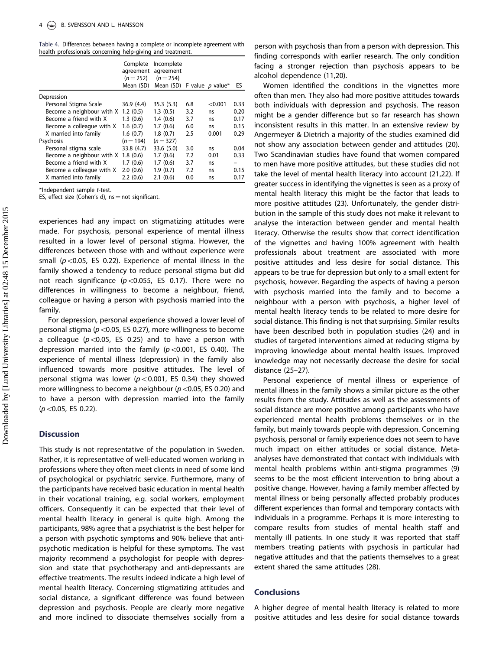<span id="page-4-0"></span>Table 4. Differences between having a complete or incomplete agreement with health professionals concerning help-giving and treatment.

|                           | Complete<br>agreement<br>$(n=252)$<br>Mean (SD) | Incomplete<br>agreement<br>$(n = 254)$<br>Mean (SD) F value $p$ value* |     |         | ES   |
|---------------------------|-------------------------------------------------|------------------------------------------------------------------------|-----|---------|------|
| Depression                |                                                 |                                                                        |     |         |      |
| Personal Stigma Scale     | 36.9(4.4)                                       | 35.3(5.3)                                                              | 6.8 | < 0.001 | 0.33 |
| Become a neighbour with X | 1.2(0.5)                                        | 1.3(0.5)                                                               | 3.2 | ns      | 0.20 |
| Become a friend with X    | 1.3(0.6)                                        | 1.4(0.6)                                                               | 3.7 | ns      | 0.17 |
| Become a colleague with X | 1.6(0.7)                                        | 1.7(0.6)                                                               | 6.0 | ns      | 0.15 |
| X married into family     | 1.6(0.7)                                        | 1.8(0.7)                                                               | 2.5 | 0.001   | 0.29 |
| Psychosis                 | $(n = 194)$                                     | $(n=327)$                                                              |     |         |      |
| Personal stigma scale     | 33.8 (4.7)                                      | 33.6(5.0)                                                              | 3.0 | ns      | 0.04 |
| Become a neighbour with X | 1.8(0.6)                                        | 1.7(0.6)                                                               | 7.2 | 0.01    | 0.33 |
| Become a friend with X    | 1.7(0.6)                                        | 1.7(0.6)                                                               | 3.7 | ns      |      |
| Become a colleague with X | 2.0(0.6)                                        | 1.9(0.7)                                                               | 7.2 | ns      | 0.15 |
| X married into family     | 2.2(0.6)                                        | 2.1(0.6)                                                               | 0.0 | ns      | 0.17 |

\*Independent sample t-test.

ES, effect size (Cohen's d),  $ns = not$  significant.

experiences had any impact on stigmatizing attitudes were made. For psychosis, personal experience of mental illness resulted in a lower level of personal stigma. However, the differences between those with and without experience were small ( $p$ <0.05, ES 0.22). Experience of mental illness in the family showed a tendency to reduce personal stigma but did not reach significance ( $p$ <0.055, ES 0.17). There were no differences in willingness to become a neighbour, friend, colleague or having a person with psychosis married into the family.

For depression, personal experience showed a lower level of personal stigma ( $p$ <0.05, ES 0.27), more willingness to become a colleague ( $p < 0.05$ , ES 0.25) and to have a person with depression married into the family ( $p$ <0.001, ES 0.40). The experience of mental illness (depression) in the family also influenced towards more positive attitudes. The level of personal stigma was lower ( $p < 0.001$ , ES 0.34) they showed more willingness to become a neighbour ( $p<0.05$ , ES 0.20) and to have a person with depression married into the family  $(p<0.05,$  ES 0.22).

#### **Discussion**

This study is not representative of the population in Sweden. Rather, it is representative of well-educated women working in professions where they often meet clients in need of some kind of psychological or psychiatric service. Furthermore, many of the participants have received basic education in mental health in their vocational training, e.g. social workers, employment officers. Consequently it can be expected that their level of mental health literacy in general is quite high. Among the participants, 98% agree that a psychiatrist is the best helper for a person with psychotic symptoms and 90% believe that antipsychotic medication is helpful for these symptoms. The vast majority recommend a psychologist for people with depression and state that psychotherapy and anti-depressants are effective treatments. The results indeed indicate a high level of mental health literacy. Concerning stigmatizing attitudes and social distance, a significant difference was found between depression and psychosis. People are clearly more negative and more inclined to dissociate themselves socially from a

person with psychosis than from a person with depression. This finding corresponds with earlier research. The only condition facing a stronger rejection than psychosis appears to be alcohol dependence [\(11,20](#page-5-0)).

Women identified the conditions in the vignettes more often than men. They also had more positive attitudes towards both individuals with depression and psychosis. The reason might be a gender difference but so far research has shown inconsistent results in this matter. In an extensive review by Angermeyer & Dietrich a majority of the studies examined did not show any association between gender and attitudes ([20\)](#page-5-0). Two Scandinavian studies have found that women compared to men have more positive attitudes, but these studies did not take the level of mental health literacy into account [\(21,22](#page-5-0)). If greater success in identifying the vignettes is seen as a proxy of mental health literacy this might be the factor that leads to more positive attitudes [\(23](#page-5-0)). Unfortunately, the gender distribution in the sample of this study does not make it relevant to analyse the interaction between gender and mental health literacy. Otherwise the results show that correct identification of the vignettes and having 100% agreement with health professionals about treatment are associated with more positive attitudes and less desire for social distance. This appears to be true for depression but only to a small extent for psychosis, however. Regarding the aspects of having a person with psychosis married into the family and to become a neighbour with a person with psychosis, a higher level of mental health literacy tends to be related to more desire for social distance. This finding is not that surprising. Similar results have been described both in population studies [\(24\)](#page-5-0) and in studies of targeted interventions aimed at reducing stigma by improving knowledge about mental health issues. Improved knowledge may not necessarily decrease the desire for social distance [\(25–27](#page-5-0)).

Personal experience of mental illness or experience of mental illness in the family shows a similar picture as the other results from the study. Attitudes as well as the assessments of social distance are more positive among participants who have experienced mental health problems themselves or in the family, but mainly towards people with depression. Concerning psychosis, personal or family experience does not seem to have much impact on either attitudes or social distance. Metaanalyses have demonstrated that contact with individuals with mental health problems within anti-stigma programmes ([9\)](#page-5-0) seems to be the most efficient intervention to bring about a positive change. However, having a family member affected by mental illness or being personally affected probably produces different experiences than formal and temporary contacts with individuals in a programme. Perhaps it is more interesting to compare results from studies of mental health staff and mentally ill patients. In one study it was reported that staff members treating patients with psychosis in particular had negative attitudes and that the patients themselves to a great extent shared the same attitudes [\(28\)](#page-5-0).

#### Conclusions

A higher degree of mental health literacy is related to more positive attitudes and less desire for social distance towards